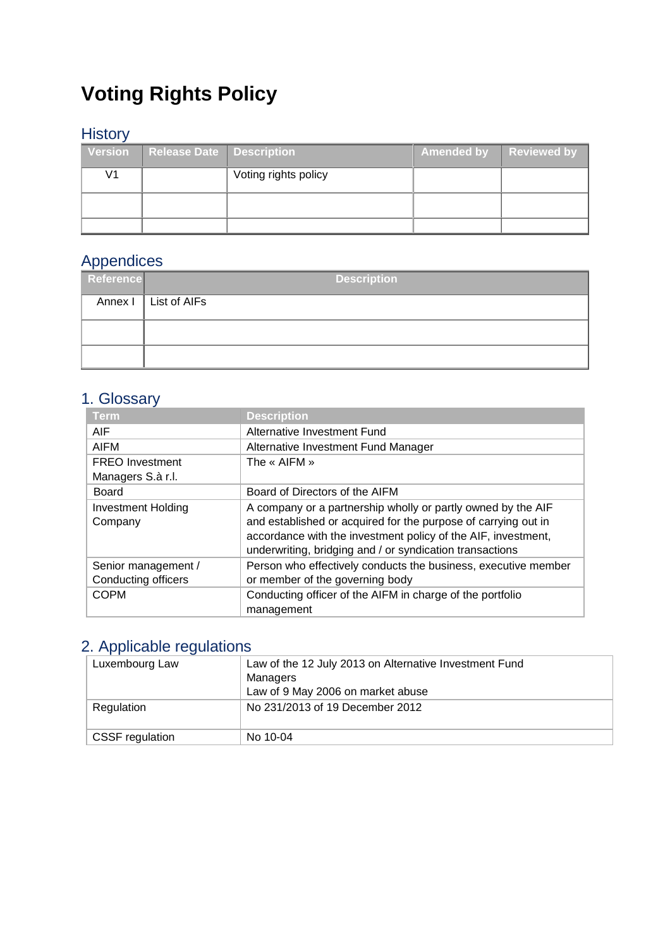# **Voting Rights Policy**

# **History**

| Version | <b>Release Date   Description</b> |                      | Amended by | Reviewed by |  |
|---------|-----------------------------------|----------------------|------------|-------------|--|
| V1      |                                   | Voting rights policy |            |             |  |
|         |                                   |                      |            |             |  |
|         |                                   |                      |            |             |  |

# Appendices

| __<br>Reference | <b>Description</b>     |
|-----------------|------------------------|
|                 | Annex I   List of AIFs |
|                 |                        |
|                 |                        |

# 1. Glossary

| <b>Term</b>               | <b>Description</b>                                             |
|---------------------------|----------------------------------------------------------------|
| <b>AIF</b>                | Alternative Investment Fund                                    |
| <b>AIFM</b>               | Alternative Investment Fund Manager                            |
| <b>FREO</b> Investment    | The « AIFM »                                                   |
| Managers S.à r.l.         |                                                                |
| Board                     | Board of Directors of the AIFM                                 |
| <b>Investment Holding</b> | A company or a partnership wholly or partly owned by the AIF   |
| Company                   | and established or acquired for the purpose of carrying out in |
|                           | accordance with the investment policy of the AIF, investment,  |
|                           | underwriting, bridging and / or syndication transactions       |
| Senior management /       | Person who effectively conducts the business, executive member |
| Conducting officers       | or member of the governing body                                |
| <b>COPM</b>               | Conducting officer of the AIFM in charge of the portfolio      |
|                           | management                                                     |

# 2. Applicable regulations

| Luxembourg Law         | Law of the 12 July 2013 on Alternative Investment Fund<br>Managers<br>Law of 9 May 2006 on market abuse |  |  |
|------------------------|---------------------------------------------------------------------------------------------------------|--|--|
| Regulation             | No 231/2013 of 19 December 2012                                                                         |  |  |
| <b>CSSF</b> regulation | No 10-04                                                                                                |  |  |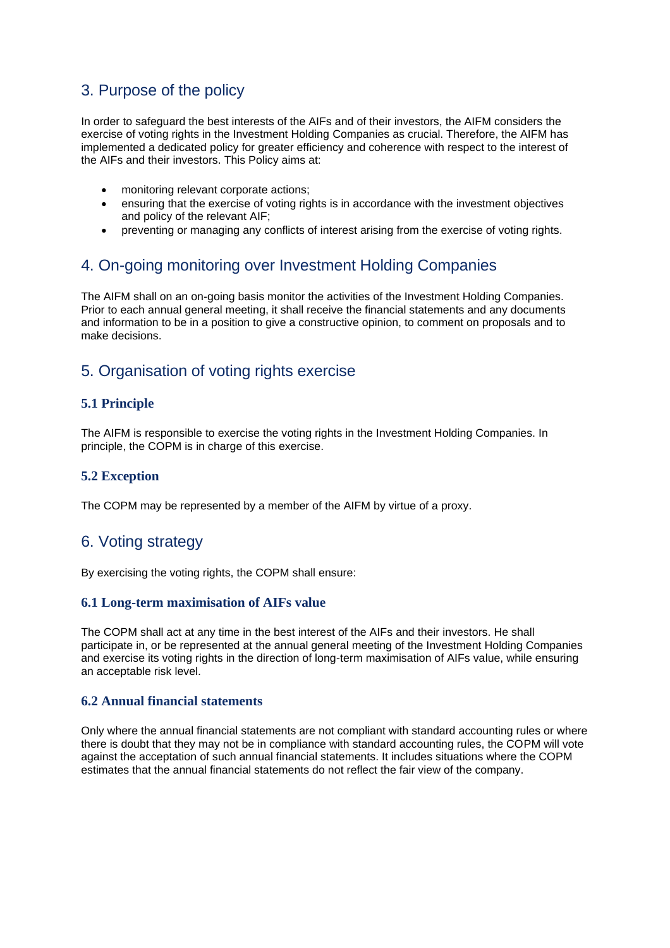# 3. Purpose of the policy

In order to safeguard the best interests of the AIFs and of their investors, the AIFM considers the exercise of voting rights in the Investment Holding Companies as crucial. Therefore, the AIFM has implemented a dedicated policy for greater efficiency and coherence with respect to the interest of the AIFs and their investors. This Policy aims at:

- monitoring relevant corporate actions;
- ensuring that the exercise of voting rights is in accordance with the investment objectives and policy of the relevant AIF;
- preventing or managing any conflicts of interest arising from the exercise of voting rights.

# 4. On-going monitoring over Investment Holding Companies

The AIFM shall on an on-going basis monitor the activities of the Investment Holding Companies. Prior to each annual general meeting, it shall receive the financial statements and any documents and information to be in a position to give a constructive opinion, to comment on proposals and to make decisions.

# 5. Organisation of voting rights exercise

#### **5.1 Principle**

The AIFM is responsible to exercise the voting rights in the Investment Holding Companies. In principle, the COPM is in charge of this exercise.

#### **5.2 Exception**

The COPM may be represented by a member of the AIFM by virtue of a proxy.

### 6. Voting strategy

By exercising the voting rights, the COPM shall ensure:

#### **6.1 Long-term maximisation of AIFs value**

The COPM shall act at any time in the best interest of the AIFs and their investors. He shall participate in, or be represented at the annual general meeting of the Investment Holding Companies and exercise its voting rights in the direction of long-term maximisation of AIFs value, while ensuring an acceptable risk level.

#### **6.2 Annual financial statements**

Only where the annual financial statements are not compliant with standard accounting rules or where there is doubt that they may not be in compliance with standard accounting rules, the COPM will vote against the acceptation of such annual financial statements. It includes situations where the COPM estimates that the annual financial statements do not reflect the fair view of the company.